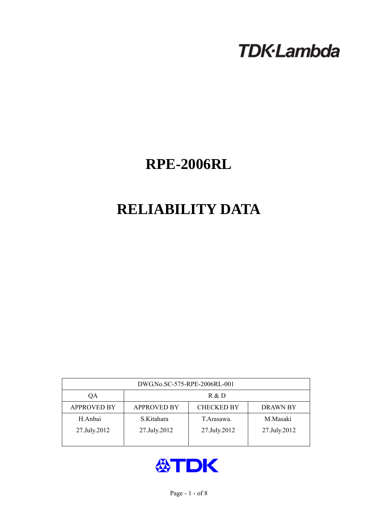# **TDK-Lambda**

## **RPE-2006RL**

## **RELIABILITY DATA**

| DWG.No.SC-575-RPE-2006RL-001 |                                                            |              |              |  |  |  |  |
|------------------------------|------------------------------------------------------------|--------------|--------------|--|--|--|--|
| ОA                           | R & D                                                      |              |              |  |  |  |  |
| <b>APPROVED BY</b>           | <b>CHECKED BY</b><br><b>APPROVED BY</b><br><b>DRAWN BY</b> |              |              |  |  |  |  |
| H.Anbai                      | S.Kitahara                                                 | T Arasawa.   | M.Masaki     |  |  |  |  |
| 27.July.2012                 | 27.July.2012                                               | 27.July.2012 | 27.July.2012 |  |  |  |  |
|                              |                                                            |              |              |  |  |  |  |

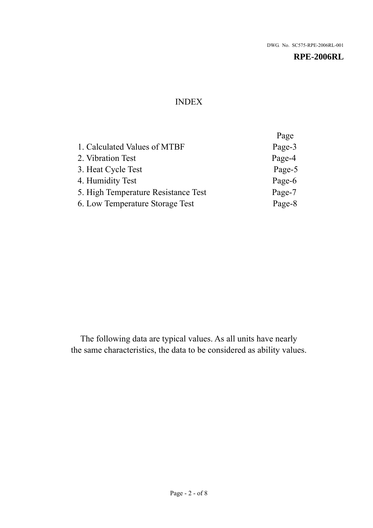## INDEX

|                                     | Page   |
|-------------------------------------|--------|
| 1. Calculated Values of MTBF        | Page-3 |
| 2. Vibration Test                   | Page-4 |
| 3. Heat Cycle Test                  | Page-5 |
| 4. Humidity Test                    | Page-6 |
| 5. High Temperature Resistance Test | Page-7 |
| 6. Low Temperature Storage Test     | Page-8 |

The following data are typical values. As all units have nearly the same characteristics, the data to be considered as ability values.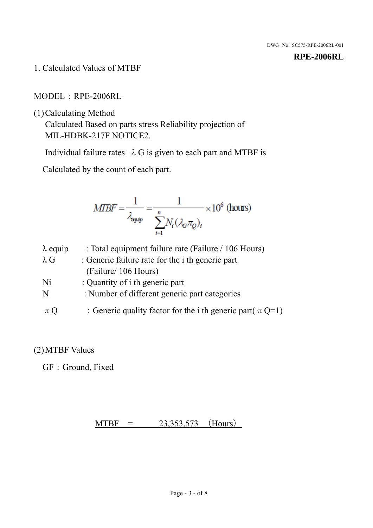1. Calculated Values of MTBF

MODEL:RPE-2006RL

(1)Calculating Method

Calculated Based on parts stress Reliability projection of MIL-HDBK-217F NOTICE2.

Individual failure rates  $\lambda$  G is given to each part and MTBF is

Calculated by the count of each part.

$$
MIBF = \frac{1}{\lambda_{\text{expap}}} = \frac{1}{\sum_{i=1}^{n} N_i (\lambda_{\text{G}} \pi_Q)_i} \times 10^6 \text{ (hours)}
$$

| $\lambda$ equip | : Total equipment failure rate (Failure / 106 Hours)            |
|-----------------|-----------------------------------------------------------------|
| $\lambda$ G     | : Generic failure rate for the <i>i</i> th generic part         |
|                 | (Failure/ 106 Hours)                                            |
| Ni              | : Quantity of i th generic part                                 |
| N               | : Number of different generic part categories                   |
| $\pi Q$         | : Generic quality factor for the i th generic part( $\pi Q=1$ ) |

## (2)MTBF Values

GF: Ground, Fixed

## $MTBF = 23,353,573$  (Hours)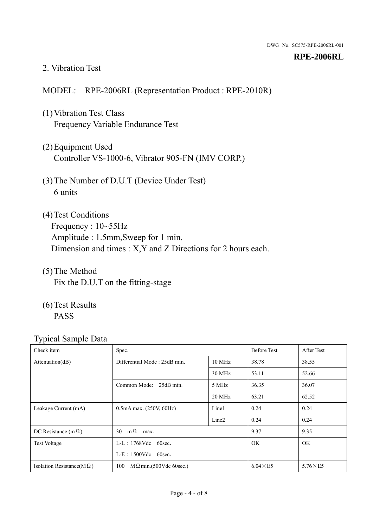#### 2. Vibration Test

## MODEL: RPE-2006RL (Representation Product : RPE-2010R)

- (1)Vibration Test Class Frequency Variable Endurance Test
- (2)Equipment Used Controller VS-1000-6, Vibrator 905-FN (IMV CORP.)
- (3)The Number of D.U.T (Device Under Test) 6 units
- (4) Test Conditions Frequency : 10~55Hz Amplitude : 1.5mm,Sweep for 1 min. Dimension and times : X,Y and Z Directions for 2 hours each.
- (5)The Method Fix the D.U.T on the fitting-stage
- (6)Test Results PASS

| Check item                        | Spec.                                            |                   | <b>Before Test</b> | After Test      |
|-----------------------------------|--------------------------------------------------|-------------------|--------------------|-----------------|
| Attenuation(dB)                   | Differential Mode: 25dB min.<br>$10 \text{ MHz}$ |                   | 38.78              | 38.55           |
|                                   |                                                  | 30 MHz            | 53.11              | 52.66           |
|                                   | Common Mode: 25dB min.                           | 5 MHz             | 36.35              | 36.07           |
|                                   |                                                  | 20 MHz            | 63.21              | 62.52           |
| Leakage Current (mA)              | $0.5mA$ max. $(250V, 60Hz)$                      | Line1             | 0.24               | 0.24            |
|                                   |                                                  | Line <sub>2</sub> | 0.24               | 0.24            |
| DC Resistance (m $\Omega$ )       | $m\Omega$<br>30<br>max.                          |                   | 9.37               | 9.35            |
| Test Voltage                      | $L-L$ : 1768Vdc 60sec.                           |                   | OK.                | OK.             |
|                                   | $L-E$ : 1500Vdc 60sec.                           |                   |                    |                 |
| Isolation Resistance(M $\Omega$ ) | $M \Omega$ min.(500Vdc 60sec.)<br>100            |                   | $6.04 \times E5$   | $5.76\times E5$ |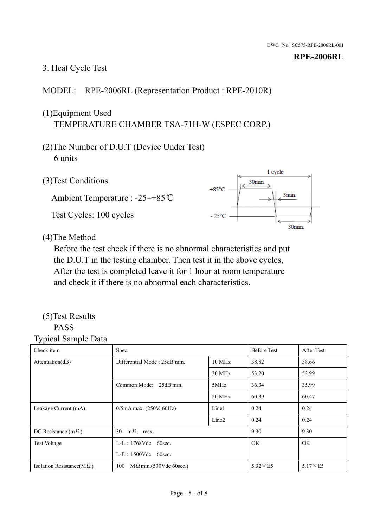## 3. Heat Cycle Test

## MODEL: RPE-2006RL (Representation Product : RPE-2010R)

## (1)Equipment Used TEMPERATURE CHAMBER TSA-71H-W (ESPEC CORP.)

- (2)The Number of D.U.T (Device Under Test) 6 units
- 1 cycle (3)Test Conditions 30<sub>min</sub>  $+85^{\circ}$ C 3min. Ambient Temperature : -25~+85℃ Test Cycles: 100 cycles  $-25^{\circ}$ C 30min.

(4)The Method

Before the test check if there is no abnormal characteristics and put the D.U.T in the testing chamber. Then test it in the above cycles, After the test is completed leave it for 1 hour at room temperature and check it if there is no abnormal each characteristics.

### (5)Test Results PASS

| ັ່<br>$\mathbf{r}$<br>Check item  | Spec.                                  |                   | <b>Before Test</b> | After Test      |
|-----------------------------------|----------------------------------------|-------------------|--------------------|-----------------|
| Attenuation(dB)                   | Differential Mode: 25dB min.<br>10 MHz |                   | 38.82              | 38.66           |
|                                   |                                        | 30 MHz            | 53.20              | 52.99           |
|                                   | Common Mode: 25dB min.                 | 5MHz              | 36.34              | 35.99           |
|                                   |                                        | 20 MHz            | 60.39              | 60.47           |
| Leakage Current (mA)              | $0/5$ mA max. (250V, 60Hz)             | Line1             | 0.24               | 0.24            |
|                                   |                                        | Line <sub>2</sub> | 0.24               | 0.24            |
| DC Resistance $(m \Omega)$        | $m\Omega$<br>30<br>max.                |                   | 9.30               | 9.30            |
| <b>Test Voltage</b>               | $L-L$ : 1768Vdc 60sec.                 |                   | OK.                | <b>OK</b>       |
|                                   | $L-E$ : 1500Vdc 60sec.                 |                   |                    |                 |
| Isolation Resistance(M $\Omega$ ) | $M \Omega$ min.(500Vdc 60sec.)<br>100  |                   | $5.32\times E5$    | $5.17\times E5$ |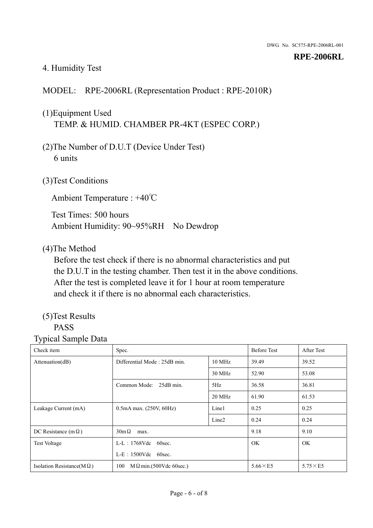## 4. Humidity Test

## MODEL: RPE-2006RL (Representation Product : RPE-2010R)

## (1)Equipment Used TEMP. & HUMID. CHAMBER PR-4KT (ESPEC CORP.)

- (2)The Number of D.U.T (Device Under Test) 6 units
- (3)Test Conditions

Ambient Temperature : +40℃

Test Times: 500 hours Ambient Humidity: 90~95%RH No Dewdrop

#### (4)The Method

Before the test check if there is no abnormal characteristics and put the D.U.T in the testing chamber. Then test it in the above conditions. After the test is completed leave it for 1 hour at room temperature and check it if there is no abnormal each characteristics.

## (5)Test Results

## PASS

| ັ່<br>л.<br>Check item            | Spec.                                  |                   | <b>Before Test</b> | After Test      |
|-----------------------------------|----------------------------------------|-------------------|--------------------|-----------------|
| Attenuation(dB)                   | Differential Mode: 25dB min.<br>10 MHz |                   | 39.49              | 39.52           |
|                                   |                                        | 30 MHz            | 52.90              | 53.08           |
|                                   | Common Mode: 25dB min.                 | 5Hz               | 36.58              | 36.81           |
|                                   |                                        | 20 MHz            | 61.90              | 61.53           |
| Leakage Current (mA)              | $0.5mA$ max. $(250V, 60Hz)$            | Line1             | 0.25               | 0.25            |
|                                   |                                        | Line <sub>2</sub> | 0.24               | 0.24            |
| DC Resistance (m $\Omega$ )       | $30m\Omega$<br>max.                    |                   | 9.18               | 9.10            |
| <b>Test Voltage</b>               | $L-L$ : 1768Vdc 60sec.                 |                   | OK.                | OK.             |
|                                   | $L-E$ : 1500Vdc 60sec.                 |                   |                    |                 |
| Isolation Resistance(M $\Omega$ ) | $M \Omega$ min.(500Vdc 60sec.)<br>100  |                   | $5.66\times E5$    | $5.75\times E5$ |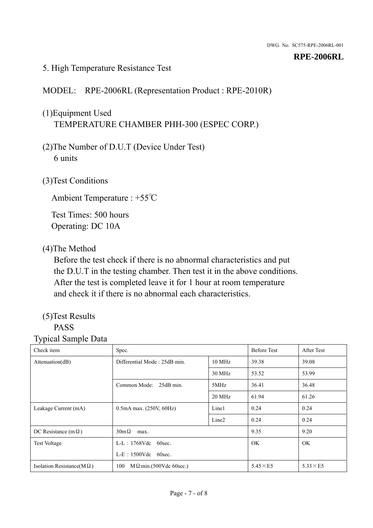### 5. High Temperature Resistance Test

## MODEL: RPE-2006RL (Representation Product : RPE-2010R)

## (1)Equipment Used TEMPERATURE CHAMBER PHH-300 (ESPEC CORP.)

- (2)The Number of D.U.T (Device Under Test) 6 units
- (3)Test Conditions

Ambient Temperature : +55℃

Test Times: 500 hours Operating: DC 10A

#### (4)The Method

Before the test check if there is no abnormal characteristics and put the D.U.T in the testing chamber. Then test it in the above conditions. After the test is completed leave it for 1 hour at room temperature and check it if there is no abnormal each characteristics.

## (5)Test Results

## PASS

| . .<br>Check item                 | Spec.                                  |                   | <b>Before Test</b> | After Test      |
|-----------------------------------|----------------------------------------|-------------------|--------------------|-----------------|
| Attention(dB)                     | Differential Mode: 25dB min.<br>10 MHz |                   | 39.38              | 39.08           |
|                                   |                                        | 30 MHz            | 53.52              | 53.99           |
|                                   | Common Mode: 25dB min.                 | 5MHz              | 36.41              | 36.48           |
|                                   |                                        | 20 MHz            | 61.94              | 61.26           |
| Leakage Current (mA)              | $0.5mA$ max. $(250V, 60Hz)$            | Line1             | 0.24               | 0.24            |
|                                   |                                        | Line <sub>2</sub> | 0.24               | 0.24            |
| DC Resistance (m $\Omega$ )       | $30m\Omega$<br>max.                    |                   | 9.35               | 9.20            |
| <b>Test Voltage</b>               | $L-L$ : 1768Vdc 60sec.                 |                   | <b>OK</b>          | OK.             |
|                                   | $L-E$ : 1500Vdc 60sec.                 |                   |                    |                 |
| Isolation Resistance( $M\Omega$ ) | 100<br>$M \Omega$ min.(500Vdc 60sec.)  |                   | $5.45\times E5$    | $5.33\times E5$ |